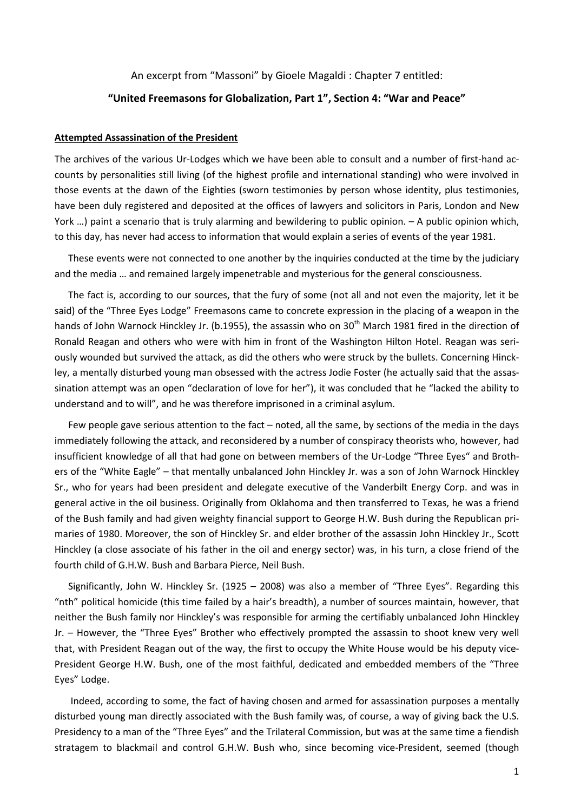# An excerpt from "Massoni" by Gioele Magaldi : Chapter 7 entitled: **"United Freemasons for Globalization, Part 1", Section 4: "War and Peace"**

### **Attempted Assassination of the President**

The archives of the various Ur-Lodges which we have been able to consult and a number of first-hand accounts by personalities still living (of the highest profile and international standing) who were involved in those events at the dawn of the Eighties (sworn testimonies by person whose identity, plus testimonies, have been duly registered and deposited at the offices of lawyers and solicitors in Paris, London and New York …) paint a scenario that is truly alarming and bewildering to public opinion. – A public opinion which, to this day, has never had access to information that would explain a series of events of the year 1981.

These events were not connected to one another by the inquiries conducted at the time by the judiciary and the media … and remained largely impenetrable and mysterious for the general consciousness.

The fact is, according to our sources, that the fury of some (not all and not even the majority, let it be said) of the "Three Eyes Lodge" Freemasons came to concrete expression in the placing of a weapon in the hands of John Warnock Hinckley Jr. (b.1955), the assassin who on 30<sup>th</sup> March 1981 fired in the direction of Ronald Reagan and others who were with him in front of the Washington Hilton Hotel. Reagan was seriously wounded but survived the attack, as did the others who were struck by the bullets. Concerning Hinckley, a mentally disturbed young man obsessed with the actress Jodie Foster (he actually said that the assassination attempt was an open "declaration of love for her"), it was concluded that he "lacked the ability to understand and to will", and he was therefore imprisoned in a criminal asylum.

Few people gave serious attention to the fact – noted, all the same, by sections of the media in the days immediately following the attack, and reconsidered by a number of conspiracy theorists who, however, had insufficient knowledge of all that had gone on between members of the Ur-Lodge "Three Eyes" and Brothers of the "White Eagle" – that mentally unbalanced John Hinckley Jr. was a son of John Warnock Hinckley Sr., who for years had been president and delegate executive of the Vanderbilt Energy Corp. and was in general active in the oil business. Originally from Oklahoma and then transferred to Texas, he was a friend of the Bush family and had given weighty financial support to George H.W. Bush during the Republican primaries of 1980. Moreover, the son of Hinckley Sr. and elder brother of the assassin John Hinckley Jr., Scott Hinckley (a close associate of his father in the oil and energy sector) was, in his turn, a close friend of the fourth child of G.H.W. Bush and Barbara Pierce, Neil Bush.

Significantly, John W. Hinckley Sr. (1925 – 2008) was also a member of "Three Eyes". Regarding this "nth" political homicide (this time failed by a hair's breadth), a number of sources maintain, however, that neither the Bush family nor Hinckley's was responsible for arming the certifiably unbalanced John Hinckley Jr. – However, the "Three Eyes" Brother who effectively prompted the assassin to shoot knew very well that, with President Reagan out of the way, the first to occupy the White House would be his deputy vice-President George H.W. Bush, one of the most faithful, dedicated and embedded members of the "Three Eyes" Lodge.

Indeed, according to some, the fact of having chosen and armed for assassination purposes a mentally disturbed young man directly associated with the Bush family was, of course, a way of giving back the U.S. Presidency to a man of the "Three Eyes" and the Trilateral Commission, but was at the same time a fiendish stratagem to blackmail and control G.H.W. Bush who, since becoming vice-President, seemed (though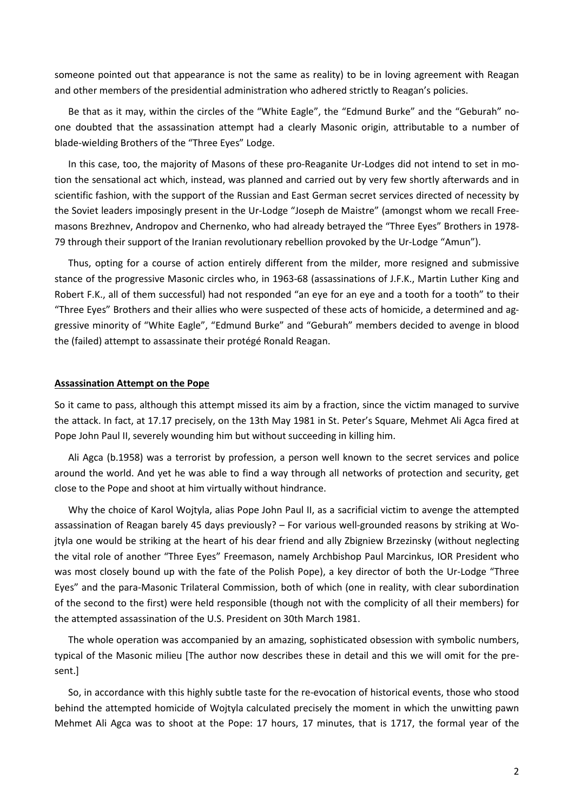someone pointed out that appearance is not the same as reality) to be in loving agreement with Reagan and other members of the presidential administration who adhered strictly to Reagan's policies.

Be that as it may, within the circles of the "White Eagle", the "Edmund Burke" and the "Geburah" noone doubted that the assassination attempt had a clearly Masonic origin, attributable to a number of blade-wielding Brothers of the "Three Eyes" Lodge.

In this case, too, the majority of Masons of these pro-Reaganite Ur-Lodges did not intend to set in motion the sensational act which, instead, was planned and carried out by very few shortly afterwards and in scientific fashion, with the support of the Russian and East German secret services directed of necessity by the Soviet leaders imposingly present in the Ur-Lodge "Joseph de Maistre" (amongst whom we recall Freemasons Brezhnev, Andropov and Chernenko, who had already betrayed the "Three Eyes" Brothers in 1978- 79 through their support of the Iranian revolutionary rebellion provoked by the Ur-Lodge "Amun").

Thus, opting for a course of action entirely different from the milder, more resigned and submissive stance of the progressive Masonic circles who, in 1963-68 (assassinations of J.F.K., Martin Luther King and Robert F.K., all of them successful) had not responded "an eye for an eye and a tooth for a tooth" to their "Three Eyes" Brothers and their allies who were suspected of these acts of homicide, a determined and aggressive minority of "White Eagle", "Edmund Burke" and "Geburah" members decided to avenge in blood the (failed) attempt to assassinate their protégé Ronald Reagan.

#### **Assassination Attempt on the Pope**

So it came to pass, although this attempt missed its aim by a fraction, since the victim managed to survive the attack. In fact, at 17.17 precisely, on the 13th May 1981 in St. Peter's Square, Mehmet Ali Agca fired at Pope John Paul II, severely wounding him but without succeeding in killing him.

Ali Agca (b.1958) was a terrorist by profession, a person well known to the secret services and police around the world. And yet he was able to find a way through all networks of protection and security, get close to the Pope and shoot at him virtually without hindrance.

Why the choice of Karol Wojtyla, alias Pope John Paul II, as a sacrificial victim to avenge the attempted assassination of Reagan barely 45 days previously? – For various well-grounded reasons by striking at Wojtyla one would be striking at the heart of his dear friend and ally Zbigniew Brzezinsky (without neglecting the vital role of another "Three Eyes" Freemason, namely Archbishop Paul Marcinkus, IOR President who was most closely bound up with the fate of the Polish Pope), a key director of both the Ur-Lodge "Three Eyes" and the para-Masonic Trilateral Commission, both of which (one in reality, with clear subordination of the second to the first) were held responsible (though not with the complicity of all their members) for the attempted assassination of the U.S. President on 30th March 1981.

The whole operation was accompanied by an amazing, sophisticated obsession with symbolic numbers, typical of the Masonic milieu [The author now describes these in detail and this we will omit for the present.]

So, in accordance with this highly subtle taste for the re-evocation of historical events, those who stood behind the attempted homicide of Wojtyla calculated precisely the moment in which the unwitting pawn Mehmet Ali Agca was to shoot at the Pope: 17 hours, 17 minutes, that is 1717, the formal year of the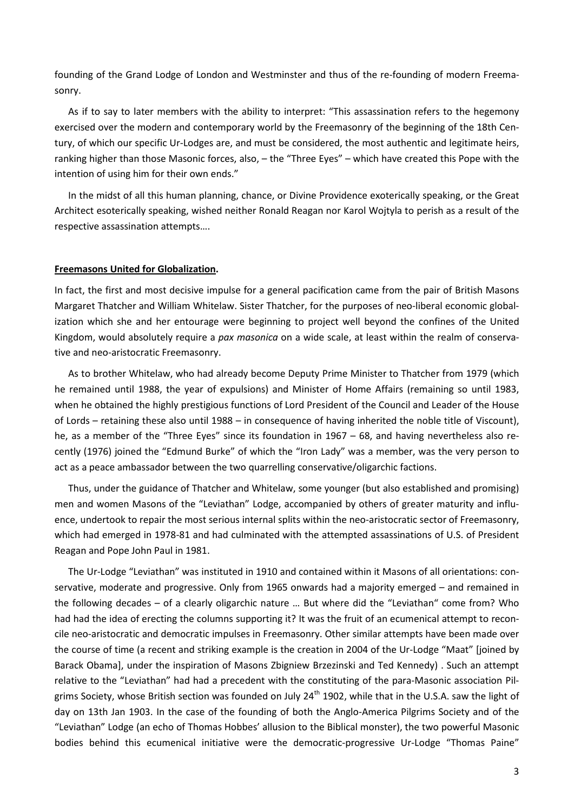founding of the Grand Lodge of London and Westminster and thus of the re-founding of modern Freemasonry.

As if to say to later members with the ability to interpret: "This assassination refers to the hegemony exercised over the modern and contemporary world by the Freemasonry of the beginning of the 18th Century, of which our specific Ur-Lodges are, and must be considered, the most authentic and legitimate heirs, ranking higher than those Masonic forces, also, – the "Three Eyes" – which have created this Pope with the intention of using him for their own ends."

In the midst of all this human planning, chance, or Divine Providence exoterically speaking, or the Great Architect esoterically speaking, wished neither Ronald Reagan nor Karol Wojtyla to perish as a result of the respective assassination attempts….

# **Freemasons United for Globalization.**

In fact, the first and most decisive impulse for a general pacification came from the pair of British Masons Margaret Thatcher and William Whitelaw. Sister Thatcher, for the purposes of neo-liberal economic globalization which she and her entourage were beginning to project well beyond the confines of the United Kingdom, would absolutely require a *pax masonica* on a wide scale, at least within the realm of conservative and neo-aristocratic Freemasonry.

As to brother Whitelaw, who had already become Deputy Prime Minister to Thatcher from 1979 (which he remained until 1988, the year of expulsions) and Minister of Home Affairs (remaining so until 1983, when he obtained the highly prestigious functions of Lord President of the Council and Leader of the House of Lords – retaining these also until 1988 – in consequence of having inherited the noble title of Viscount), he, as a member of the "Three Eyes" since its foundation in 1967 – 68, and having nevertheless also recently (1976) joined the "Edmund Burke" of which the "Iron Lady" was a member, was the very person to act as a peace ambassador between the two quarrelling conservative/oligarchic factions.

Thus, under the guidance of Thatcher and Whitelaw, some younger (but also established and promising) men and women Masons of the "Leviathan" Lodge, accompanied by others of greater maturity and influence, undertook to repair the most serious internal splits within the neo-aristocratic sector of Freemasonry, which had emerged in 1978-81 and had culminated with the attempted assassinations of U.S. of President Reagan and Pope John Paul in 1981.

The Ur-Lodge "Leviathan" was instituted in 1910 and contained within it Masons of all orientations: conservative, moderate and progressive. Only from 1965 onwards had a majority emerged – and remained in the following decades – of a clearly oligarchic nature … But where did the "Leviathan" come from? Who had had the idea of erecting the columns supporting it? It was the fruit of an ecumenical attempt to reconcile neo-aristocratic and democratic impulses in Freemasonry. Other similar attempts have been made over the course of time (a recent and striking example is the creation in 2004 of the Ur-Lodge "Maat" [joined by Barack Obama], under the inspiration of Masons Zbigniew Brzezinski and Ted Kennedy) . Such an attempt relative to the "Leviathan" had had a precedent with the constituting of the para-Masonic association Pilgrims Society, whose British section was founded on July 24<sup>th</sup> 1902, while that in the U.S.A. saw the light of day on 13th Jan 1903. In the case of the founding of both the Anglo-America Pilgrims Society and of the "Leviathan" Lodge (an echo of Thomas Hobbes' allusion to the Biblical monster), the two powerful Masonic bodies behind this ecumenical initiative were the democratic-progressive Ur-Lodge "Thomas Paine"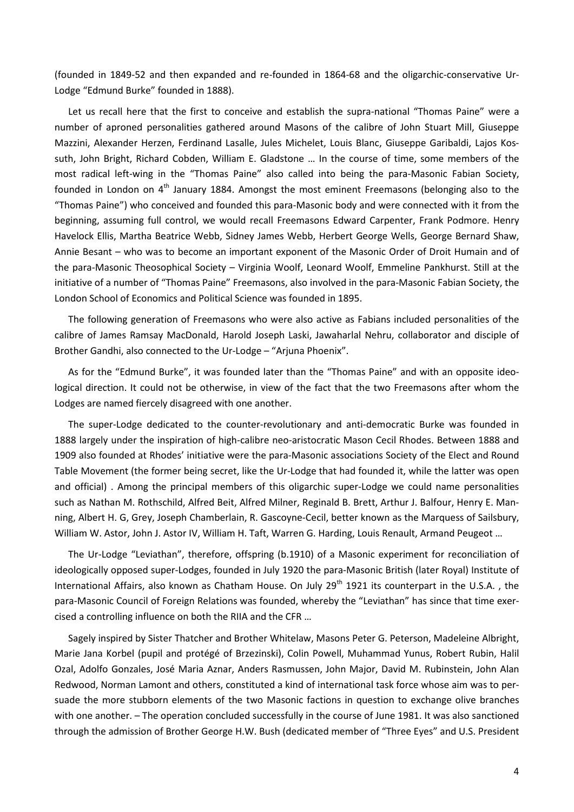(founded in 1849-52 and then expanded and re-founded in 1864-68 and the oligarchic-conservative Ur-Lodge "Edmund Burke" founded in 1888).

Let us recall here that the first to conceive and establish the supra-national "Thomas Paine" were a number of aproned personalities gathered around Masons of the calibre of John Stuart Mill, Giuseppe Mazzini, Alexander Herzen, Ferdinand Lasalle, Jules Michelet, Louis Blanc, Giuseppe Garibaldi, Lajos Kossuth, John Bright, Richard Cobden, William E. Gladstone … In the course of time, some members of the most radical left-wing in the "Thomas Paine" also called into being the para-Masonic Fabian Society, founded in London on 4<sup>th</sup> January 1884. Amongst the most eminent Freemasons (belonging also to the "Thomas Paine") who conceived and founded this para-Masonic body and were connected with it from the beginning, assuming full control, we would recall Freemasons Edward Carpenter, Frank Podmore. Henry Havelock Ellis, Martha Beatrice Webb, Sidney James Webb, Herbert George Wells, George Bernard Shaw, Annie Besant – who was to become an important exponent of the Masonic Order of Droit Humain and of the para-Masonic Theosophical Society – Virginia Woolf, Leonard Woolf, Emmeline Pankhurst. Still at the initiative of a number of "Thomas Paine" Freemasons, also involved in the para-Masonic Fabian Society, the London School of Economics and Political Science was founded in 1895.

The following generation of Freemasons who were also active as Fabians included personalities of the calibre of James Ramsay MacDonald, Harold Joseph Laski, Jawaharlal Nehru, collaborator and disciple of Brother Gandhi, also connected to the Ur-Lodge – "Arjuna Phoenix".

As for the "Edmund Burke", it was founded later than the "Thomas Paine" and with an opposite ideological direction. It could not be otherwise, in view of the fact that the two Freemasons after whom the Lodges are named fiercely disagreed with one another.

The super-Lodge dedicated to the counter-revolutionary and anti-democratic Burke was founded in 1888 largely under the inspiration of high-calibre neo-aristocratic Mason Cecil Rhodes. Between 1888 and 1909 also founded at Rhodes' initiative were the para-Masonic associations Society of the Elect and Round Table Movement (the former being secret, like the Ur-Lodge that had founded it, while the latter was open and official) . Among the principal members of this oligarchic super-Lodge we could name personalities such as Nathan M. Rothschild, Alfred Beit, Alfred Milner, Reginald B. Brett, Arthur J. Balfour, Henry E. Manning, Albert H. G, Grey, Joseph Chamberlain, R. Gascoyne-Cecil, better known as the Marquess of Sailsbury, William W. Astor, John J. Astor IV, William H. Taft, Warren G. Harding, Louis Renault, Armand Peugeot …

The Ur-Lodge "Leviathan", therefore, offspring (b.1910) of a Masonic experiment for reconciliation of ideologically opposed super-Lodges, founded in July 1920 the para-Masonic British (later Royal) Institute of International Affairs, also known as Chatham House. On July  $29<sup>th</sup>$  1921 its counterpart in the U.S.A., the para-Masonic Council of Foreign Relations was founded, whereby the "Leviathan" has since that time exercised a controlling influence on both the RIIA and the CFR …

Sagely inspired by Sister Thatcher and Brother Whitelaw, Masons Peter G. Peterson, Madeleine Albright, Marie Jana Korbel (pupil and protégé of Brzezinski), Colin Powell, Muhammad Yunus, Robert Rubin, Halil Ozal, Adolfo Gonzales, José Maria Aznar, Anders Rasmussen, John Major, David M. Rubinstein, John Alan Redwood, Norman Lamont and others, constituted a kind of international task force whose aim was to persuade the more stubborn elements of the two Masonic factions in question to exchange olive branches with one another. – The operation concluded successfully in the course of June 1981. It was also sanctioned through the admission of Brother George H.W. Bush (dedicated member of "Three Eyes" and U.S. President